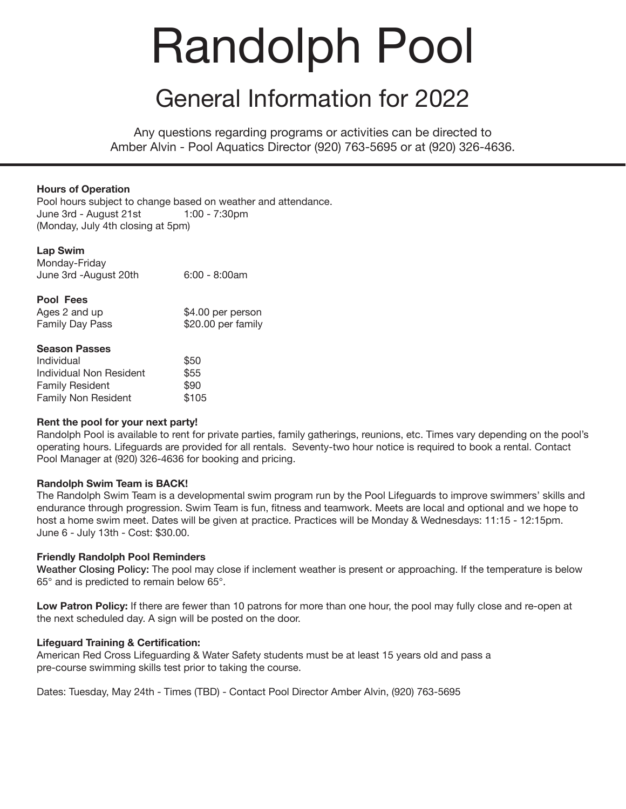# Randolph Pool

### General Information for 2022

Any questions regarding programs or activities can be directed to Amber Alvin - Pool Aquatics Director (920) 763-5695 or at (920) 326-4636.

#### **Hours of Operation**

Pool hours subject to change based on weather and attendance. June 3rd - August 21st 1:00 - 7:30pm (Monday, July 4th closing at 5pm)

#### **Lap Swim**

| Monday-Friday         |                 |
|-----------------------|-----------------|
| June 3rd -August 20th | $6:00 - 8:00am$ |

| Ages 2 and up   | \$4.00 per person  |
|-----------------|--------------------|
| Family Day Pass | \$20.00 per family |

#### **Season Passes**

| Individual                 | \$50  |
|----------------------------|-------|
| Individual Non Resident    | \$55  |
| <b>Family Resident</b>     | \$90  |
| <b>Family Non Resident</b> | \$105 |

#### **Rent the pool for your next party!**

Randolph Pool is available to rent for private parties, family gatherings, reunions, etc. Times vary depending on the pool's operating hours. Lifeguards are provided for all rentals. Seventy-two hour notice is required to book a rental. Contact Pool Manager at (920) 326-4636 for booking and pricing.

#### **Randolph Swim Team is BACK!**

The Randolph Swim Team is a developmental swim program run by the Pool Lifeguards to improve swimmers' skills and endurance through progression. Swim Team is fun, fitness and teamwork. Meets are local and optional and we hope to host a home swim meet. Dates will be given at practice. Practices will be Monday & Wednesdays: 11:15 - 12:15pm. June 6 - July 13th - Cost: \$30.00.

#### **Friendly Randolph Pool Reminders**

Weather Closing Policy: The pool may close if inclement weather is present or approaching. If the temperature is below 65° and is predicted to remain below 65°.

**Low Patron Policy:** If there are fewer than 10 patrons for more than one hour, the pool may fully close and re-open at the next scheduled day. A sign will be posted on the door.

#### **Lifeguard Training & Certification:**

American Red Cross Lifeguarding & Water Safety students must be at least 15 years old and pass a pre-course swimming skills test prior to taking the course.

Dates: Tuesday, May 24th - Times (TBD) - Contact Pool Director Amber Alvin, (920) 763-5695